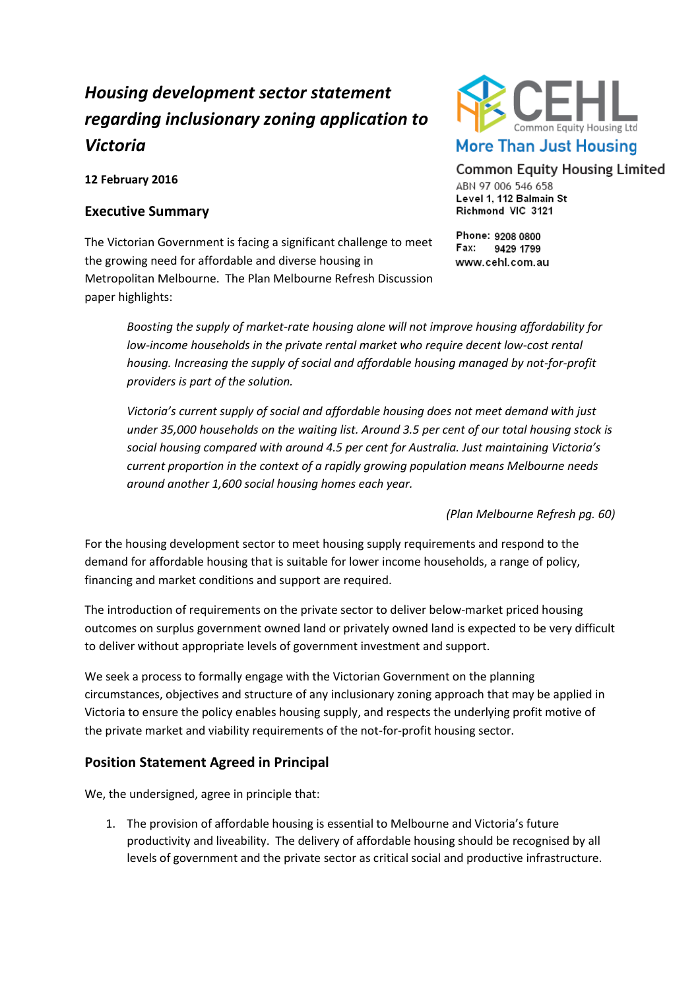# *Housing development sector statement regarding inclusionary zoning application to Victoria*

**12 February 2016**

#### **Executive Summary**

The Victorian Government is facing a significant challenge to meet the growing need for affordable and diverse housing in Metropolitan Melbourne. The Plan Melbourne Refresh Discussion paper highlights:



## **Common Equity Housing Limited**

ABN 97 006 546 658 Level 1, 112 Balmain St Richmond VIC 3121

Phone: 9208 0800 Fax: 9429 1799 www.cehl.com.au

*Boosting the supply of market-rate housing alone will not improve housing affordability for low-income households in the private rental market who require decent low-cost rental housing. Increasing the supply of social and affordable housing managed by not-for-profit providers is part of the solution.* 

*Victoria's current supply of social and affordable housing does not meet demand with just under 35,000 households on the waiting list. Around 3.5 per cent of our total housing stock is social housing compared with around 4.5 per cent for Australia. Just maintaining Victoria's current proportion in the context of a rapidly growing population means Melbourne needs around another 1,600 social housing homes each year.*

*(Plan Melbourne Refresh pg. 60)*

For the housing development sector to meet housing supply requirements and respond to the demand for affordable housing that is suitable for lower income households, a range of policy, financing and market conditions and support are required.

The introduction of requirements on the private sector to deliver below-market priced housing outcomes on surplus government owned land or privately owned land is expected to be very difficult to deliver without appropriate levels of government investment and support.

We seek a process to formally engage with the Victorian Government on the planning circumstances, objectives and structure of any inclusionary zoning approach that may be applied in Victoria to ensure the policy enables housing supply, and respects the underlying profit motive of the private market and viability requirements of the not-for-profit housing sector.

### **Position Statement Agreed in Principal**

We, the undersigned, agree in principle that:

1. The provision of affordable housing is essential to Melbourne and Victoria's future productivity and liveability. The delivery of affordable housing should be recognised by all levels of government and the private sector as critical social and productive infrastructure.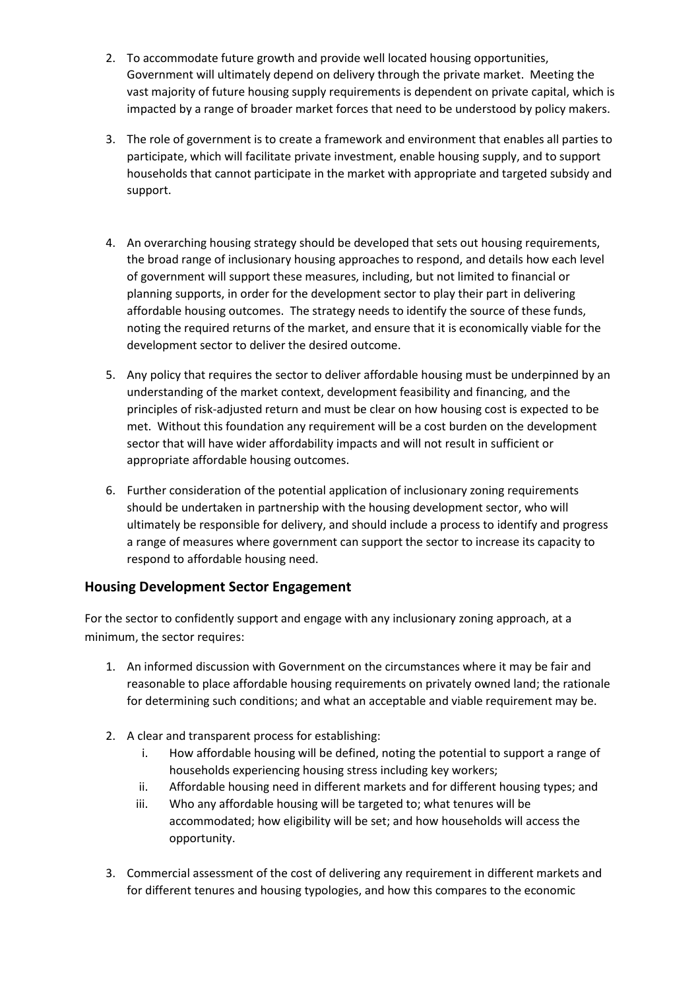- 2. To accommodate future growth and provide well located housing opportunities, Government will ultimately depend on delivery through the private market. Meeting the vast majority of future housing supply requirements is dependent on private capital, which is impacted by a range of broader market forces that need to be understood by policy makers.
- 3. The role of government is to create a framework and environment that enables all parties to participate, which will facilitate private investment, enable housing supply, and to support households that cannot participate in the market with appropriate and targeted subsidy and support.
- 4. An overarching housing strategy should be developed that sets out housing requirements, the broad range of inclusionary housing approaches to respond, and details how each level of government will support these measures, including, but not limited to financial or planning supports, in order for the development sector to play their part in delivering affordable housing outcomes. The strategy needs to identify the source of these funds, noting the required returns of the market, and ensure that it is economically viable for the development sector to deliver the desired outcome.
- 5. Any policy that requires the sector to deliver affordable housing must be underpinned by an understanding of the market context, development feasibility and financing, and the principles of risk-adjusted return and must be clear on how housing cost is expected to be met. Without this foundation any requirement will be a cost burden on the development sector that will have wider affordability impacts and will not result in sufficient or appropriate affordable housing outcomes.
- 6. Further consideration of the potential application of inclusionary zoning requirements should be undertaken in partnership with the housing development sector, who will ultimately be responsible for delivery, and should include a process to identify and progress a range of measures where government can support the sector to increase its capacity to respond to affordable housing need.

### **Housing Development Sector Engagement**

For the sector to confidently support and engage with any inclusionary zoning approach, at a minimum, the sector requires:

- 1. An informed discussion with Government on the circumstances where it may be fair and reasonable to place affordable housing requirements on privately owned land; the rationale for determining such conditions; and what an acceptable and viable requirement may be.
- 2. A clear and transparent process for establishing:
	- i. How affordable housing will be defined, noting the potential to support a range of households experiencing housing stress including key workers;
	- ii. Affordable housing need in different markets and for different housing types; and
	- iii. Who any affordable housing will be targeted to; what tenures will be accommodated; how eligibility will be set; and how households will access the opportunity.
- 3. Commercial assessment of the cost of delivering any requirement in different markets and for different tenures and housing typologies, and how this compares to the economic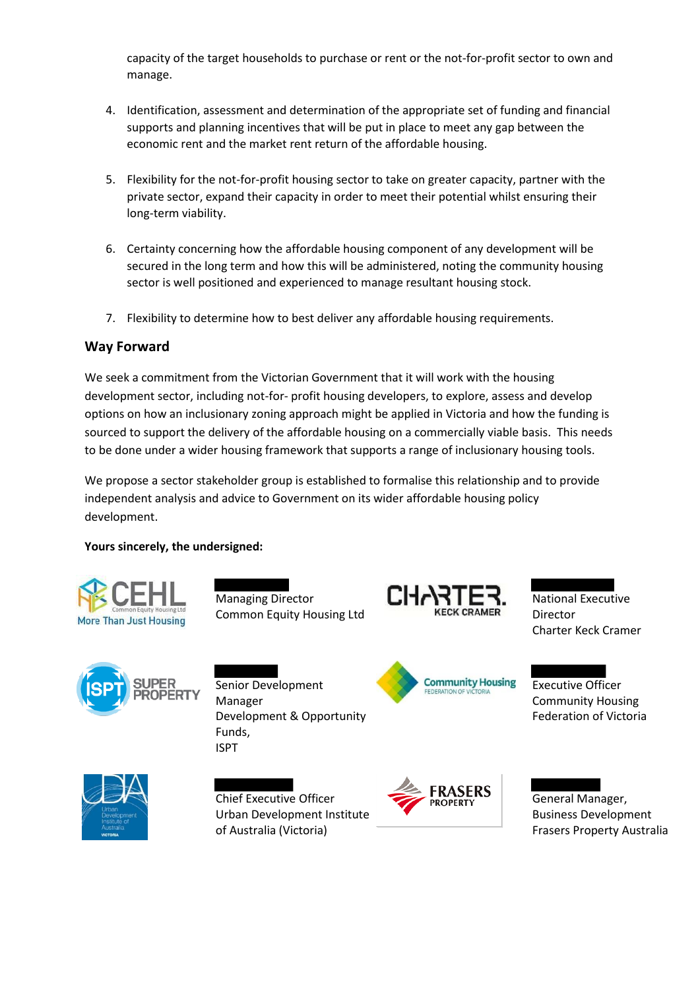capacity of the target households to purchase or rent or the not-for-profit sector to own and manage.

- 4. Identification, assessment and determination of the appropriate set of funding and financial supports and planning incentives that will be put in place to meet any gap between the economic rent and the market rent return of the affordable housing.
- 5. Flexibility for the not-for-profit housing sector to take on greater capacity, partner with the private sector, expand their capacity in order to meet their potential whilst ensuring their long-term viability.
- 6. Certainty concerning how the affordable housing component of any development will be secured in the long term and how this will be administered, noting the community housing sector is well positioned and experienced to manage resultant housing stock.
- 7. Flexibility to determine how to best deliver any affordable housing requirements.

#### **Way Forward**

We seek a commitment from the Victorian Government that it will work with the housing development sector, including not-for- profit housing developers, to explore, assess and develop options on how an inclusionary zoning approach might be applied in Victoria and how the funding is sourced to support the delivery of the affordable housing on a commercially viable basis. This needs to be done under a wider housing framework that supports a range of inclusionary housing tools.

We propose a sector stakeholder group is established to formalise this relationship and to provide independent analysis and advice to Government on its wider affordable housing policy development.

#### **Yours sincerely, the undersigned:**



Managing Director Common Equity Housing Ltd







**Community Housing** 

National Executive Director Charter Keck Cramer

Executive Officer Community Housing Federation of Victoria



Chief Executive Officer Urban Development Institute of Australia (Victoria)



General Manager, Business Development Frasers Property Australia